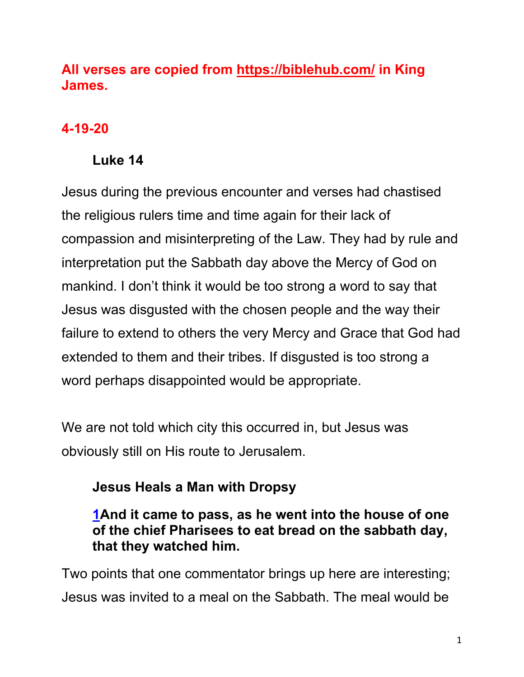# **All verses are copied from https://biblehub.com/ in King James.**

# **4-19-20**

# **Luke 14**

Jesus during the previous encounter and verses had chastised the religious rulers time and time again for their lack of compassion and misinterpreting of the Law. They had by rule and interpretation put the Sabbath day above the Mercy of God on mankind. I don't think it would be too strong a word to say that Jesus was disgusted with the chosen people and the way their failure to extend to others the very Mercy and Grace that God had extended to them and their tribes. If disgusted is too strong a word perhaps disappointed would be appropriate.

We are not told which city this occurred in, but Jesus was obviously still on His route to Jerusalem.

# **Jesus Heals a Man with Dropsy**

## **1And it came to pass, as he went into the house of one of the chief Pharisees to eat bread on the sabbath day, that they watched him.**

Two points that one commentator brings up here are interesting; Jesus was invited to a meal on the Sabbath. The meal would be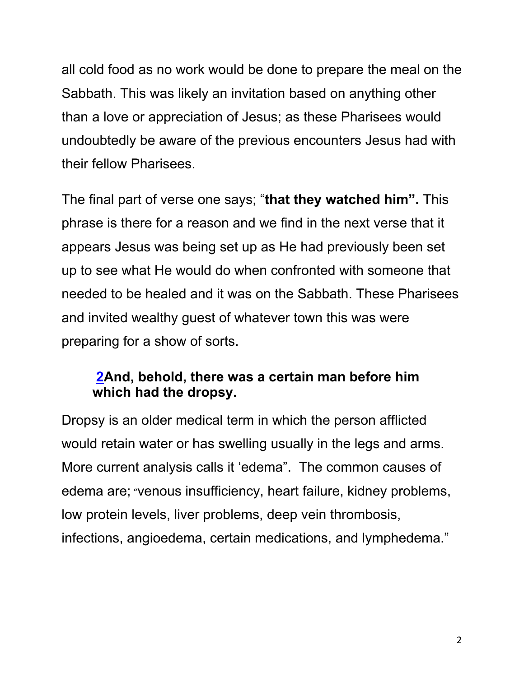all cold food as no work would be done to prepare the meal on the Sabbath. This was likely an invitation based on anything other than a love or appreciation of Jesus; as these Pharisees would undoubtedly be aware of the previous encounters Jesus had with their fellow Pharisees.

The final part of verse one says; "**that they watched him".** This phrase is there for a reason and we find in the next verse that it appears Jesus was being set up as He had previously been set up to see what He would do when confronted with someone that needed to be healed and it was on the Sabbath. These Pharisees and invited wealthy guest of whatever town this was were preparing for a show of sorts.

#### **2And, behold, there was a certain man before him which had the dropsy.**

Dropsy is an older medical term in which the person afflicted would retain water or has swelling usually in the legs and arms. More current analysis calls it 'edema". The common causes of edema are; "venous insufficiency, heart failure, kidney problems, low protein levels, liver problems, deep vein thrombosis, infections, angioedema, certain medications, and lymphedema."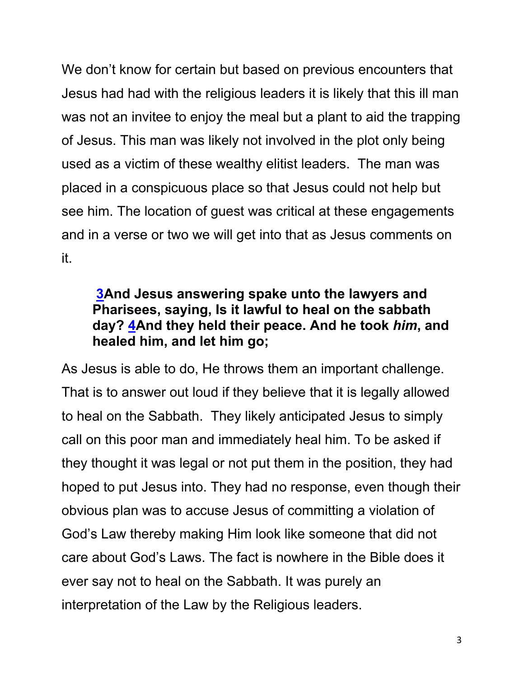We don't know for certain but based on previous encounters that Jesus had had with the religious leaders it is likely that this ill man was not an invitee to enjoy the meal but a plant to aid the trapping of Jesus. This man was likely not involved in the plot only being used as a victim of these wealthy elitist leaders. The man was placed in a conspicuous place so that Jesus could not help but see him. The location of guest was critical at these engagements and in a verse or two we will get into that as Jesus comments on it.

#### **3And Jesus answering spake unto the lawyers and Pharisees, saying, Is it lawful to heal on the sabbath day? 4And they held their peace. And he took** *him***, and healed him, and let him go;**

As Jesus is able to do, He throws them an important challenge. That is to answer out loud if they believe that it is legally allowed to heal on the Sabbath. They likely anticipated Jesus to simply call on this poor man and immediately heal him. To be asked if they thought it was legal or not put them in the position, they had hoped to put Jesus into. They had no response, even though their obvious plan was to accuse Jesus of committing a violation of God's Law thereby making Him look like someone that did not care about God's Laws. The fact is nowhere in the Bible does it ever say not to heal on the Sabbath. It was purely an interpretation of the Law by the Religious leaders.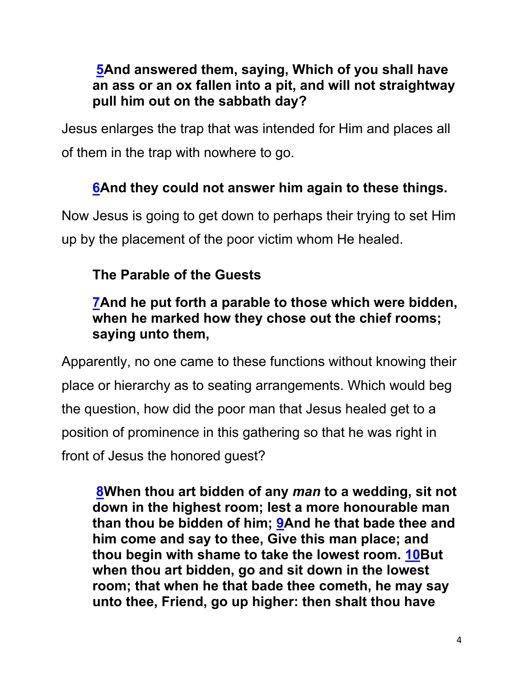## **5And answered them, saying, Which of you shall have an ass or an ox fallen into a pit, and will not straightway pull him out on the sabbath day?**

Jesus enlarges the trap that was intended for Him and places all of them in the trap with nowhere to go.

# **6And they could not answer him again to these things.**

Now Jesus is going to get down to perhaps their trying to set Him up by the placement of the poor victim whom He healed.

# **The Parable of the Guests**

## **7And he put forth a parable to those which were bidden, when he marked how they chose out the chief rooms; saying unto them,**

Apparently, no one came to these functions without knowing their place or hierarchy as to seating arrangements. Which would beg the question, how did the poor man that Jesus healed get to a position of prominence in this gathering so that he was right in front of Jesus the honored guest?

**8When thou art bidden of any** *man* **to a wedding, sit not down in the highest room; lest a more honourable man than thou be bidden of him; 9And he that bade thee and him come and say to thee, Give this man place; and thou begin with shame to take the lowest room. 10But when thou art bidden, go and sit down in the lowest room; that when he that bade thee cometh, he may say unto thee, Friend, go up higher: then shalt thou have**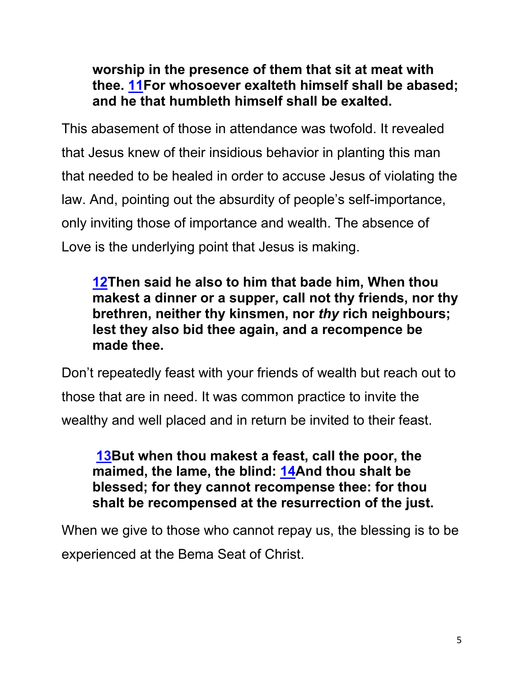**worship in the presence of them that sit at meat with thee. 11For whosoever exalteth himself shall be abased; and he that humbleth himself shall be exalted.**

This abasement of those in attendance was twofold. It revealed that Jesus knew of their insidious behavior in planting this man that needed to be healed in order to accuse Jesus of violating the law. And, pointing out the absurdity of people's self-importance, only inviting those of importance and wealth. The absence of Love is the underlying point that Jesus is making.

**12Then said he also to him that bade him, When thou makest a dinner or a supper, call not thy friends, nor thy brethren, neither thy kinsmen, nor** *thy* **rich neighbours; lest they also bid thee again, and a recompence be made thee.**

Don't repeatedly feast with your friends of wealth but reach out to those that are in need. It was common practice to invite the wealthy and well placed and in return be invited to their feast.

**13But when thou makest a feast, call the poor, the maimed, the lame, the blind: 14And thou shalt be blessed; for they cannot recompense thee: for thou shalt be recompensed at the resurrection of the just.**

When we give to those who cannot repay us, the blessing is to be experienced at the Bema Seat of Christ.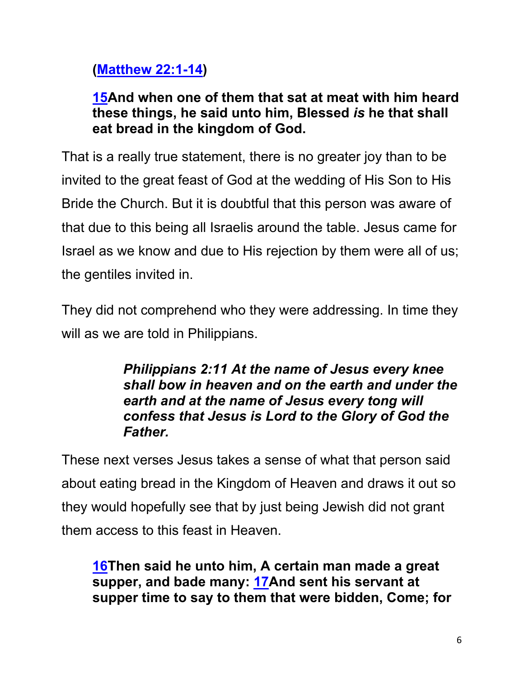# **(Matthew 22:1-14)**

# **15And when one of them that sat at meat with him heard these things, he said unto him, Blessed** *is* **he that shall eat bread in the kingdom of God.**

That is a really true statement, there is no greater joy than to be invited to the great feast of God at the wedding of His Son to His Bride the Church. But it is doubtful that this person was aware of that due to this being all Israelis around the table. Jesus came for Israel as we know and due to His rejection by them were all of us; the gentiles invited in.

They did not comprehend who they were addressing. In time they will as we are told in Philippians.

> *Philippians 2:11 At the name of Jesus every knee shall bow in heaven and on the earth and under the earth and at the name of Jesus every tong will confess that Jesus is Lord to the Glory of God the Father.*

These next verses Jesus takes a sense of what that person said about eating bread in the Kingdom of Heaven and draws it out so they would hopefully see that by just being Jewish did not grant them access to this feast in Heaven.

**16Then said he unto him, A certain man made a great supper, and bade many: 17And sent his servant at supper time to say to them that were bidden, Come; for**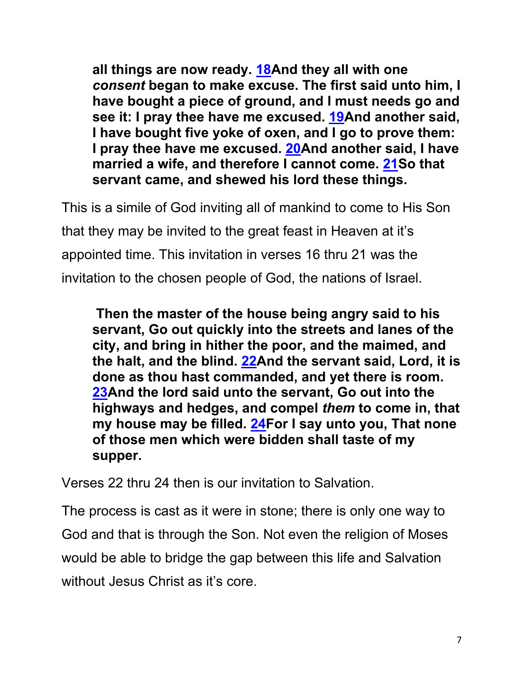**all things are now ready. 18And they all with one**  *consent* **began to make excuse. The first said unto him, I have bought a piece of ground, and I must needs go and see it: I pray thee have me excused. 19And another said, I have bought five yoke of oxen, and I go to prove them: I pray thee have me excused. 20And another said, I have married a wife, and therefore I cannot come. 21So that servant came, and shewed his lord these things.**

This is a simile of God inviting all of mankind to come to His Son that they may be invited to the great feast in Heaven at it's appointed time. This invitation in verses 16 thru 21 was the invitation to the chosen people of God, the nations of Israel.

**Then the master of the house being angry said to his servant, Go out quickly into the streets and lanes of the city, and bring in hither the poor, and the maimed, and the halt, and the blind. 22And the servant said, Lord, it is done as thou hast commanded, and yet there is room. 23And the lord said unto the servant, Go out into the highways and hedges, and compel** *them* **to come in, that my house may be filled. 24For I say unto you, That none of those men which were bidden shall taste of my supper.**

Verses 22 thru 24 then is our invitation to Salvation.

The process is cast as it were in stone; there is only one way to God and that is through the Son. Not even the religion of Moses would be able to bridge the gap between this life and Salvation without Jesus Christ as it's core.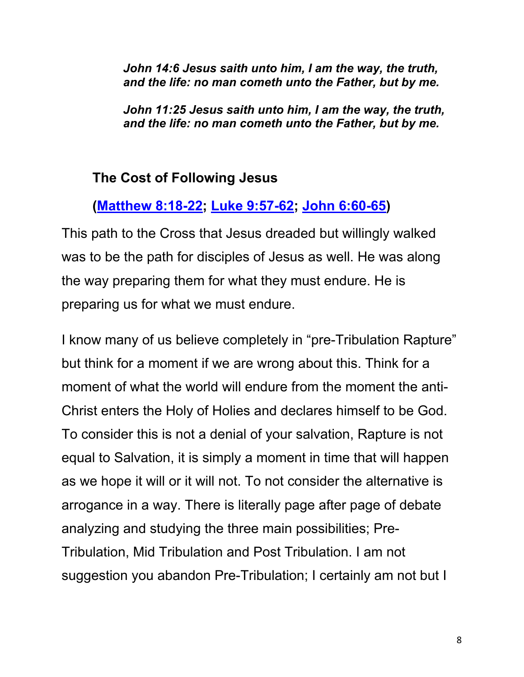*John 14:6 Jesus saith unto him, I am the way, the truth, and the life: no man cometh unto the Father, but by me.*

*John 11:25 Jesus saith unto him, I am the way, the truth, and the life: no man cometh unto the Father, but by me.*

#### **The Cost of Following Jesus**

### **(Matthew 8:18-22; Luke 9:57-62; John 6:60-65)**

This path to the Cross that Jesus dreaded but willingly walked was to be the path for disciples of Jesus as well. He was along the way preparing them for what they must endure. He is preparing us for what we must endure.

I know many of us believe completely in "pre-Tribulation Rapture" but think for a moment if we are wrong about this. Think for a moment of what the world will endure from the moment the anti-Christ enters the Holy of Holies and declares himself to be God. To consider this is not a denial of your salvation, Rapture is not equal to Salvation, it is simply a moment in time that will happen as we hope it will or it will not. To not consider the alternative is arrogance in a way. There is literally page after page of debate analyzing and studying the three main possibilities; Pre-Tribulation, Mid Tribulation and Post Tribulation. I am not suggestion you abandon Pre-Tribulation; I certainly am not but I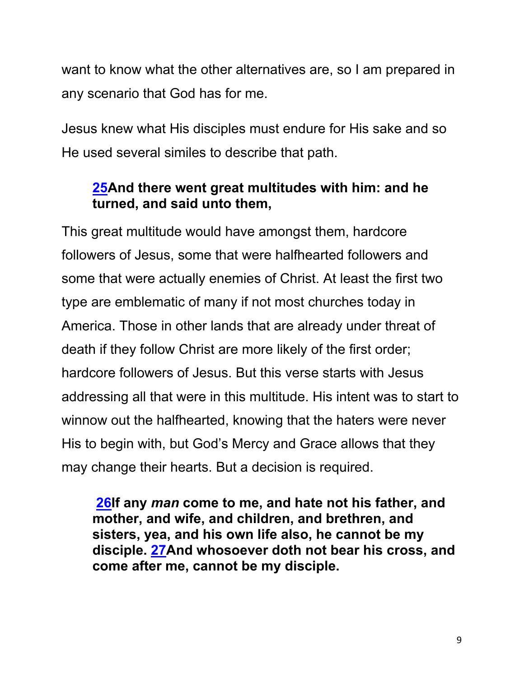want to know what the other alternatives are, so I am prepared in any scenario that God has for me.

Jesus knew what His disciples must endure for His sake and so He used several similes to describe that path.

#### **25And there went great multitudes with him: and he turned, and said unto them,**

This great multitude would have amongst them, hardcore followers of Jesus, some that were halfhearted followers and some that were actually enemies of Christ. At least the first two type are emblematic of many if not most churches today in America. Those in other lands that are already under threat of death if they follow Christ are more likely of the first order; hardcore followers of Jesus. But this verse starts with Jesus addressing all that were in this multitude. His intent was to start to winnow out the halfhearted, knowing that the haters were never His to begin with, but God's Mercy and Grace allows that they may change their hearts. But a decision is required.

**26If any** *man* **come to me, and hate not his father, and mother, and wife, and children, and brethren, and sisters, yea, and his own life also, he cannot be my disciple. 27And whosoever doth not bear his cross, and come after me, cannot be my disciple.**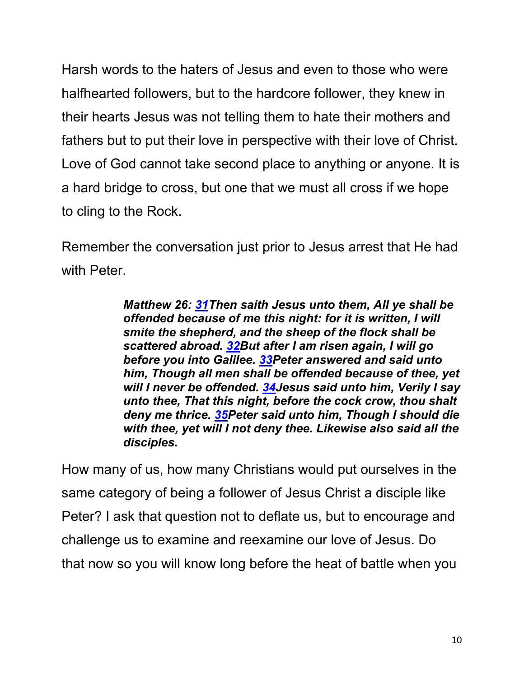Harsh words to the haters of Jesus and even to those who were halfhearted followers, but to the hardcore follower, they knew in their hearts Jesus was not telling them to hate their mothers and fathers but to put their love in perspective with their love of Christ. Love of God cannot take second place to anything or anyone. It is a hard bridge to cross, but one that we must all cross if we hope to cling to the Rock.

Remember the conversation just prior to Jesus arrest that He had with Peter.

> *Matthew 26: 31Then saith Jesus unto them, All ye shall be offended because of me this night: for it is written, I will smite the shepherd, and the sheep of the flock shall be scattered abroad. 32But after I am risen again, I will go before you into Galilee. 33Peter answered and said unto him, Though all men shall be offended because of thee, yet will I never be offended. 34Jesus said unto him, Verily I say unto thee, That this night, before the cock crow, thou shalt deny me thrice. 35Peter said unto him, Though I should die with thee, yet will I not deny thee. Likewise also said all the disciples.*

How many of us, how many Christians would put ourselves in the same category of being a follower of Jesus Christ a disciple like Peter? I ask that question not to deflate us, but to encourage and challenge us to examine and reexamine our love of Jesus. Do that now so you will know long before the heat of battle when you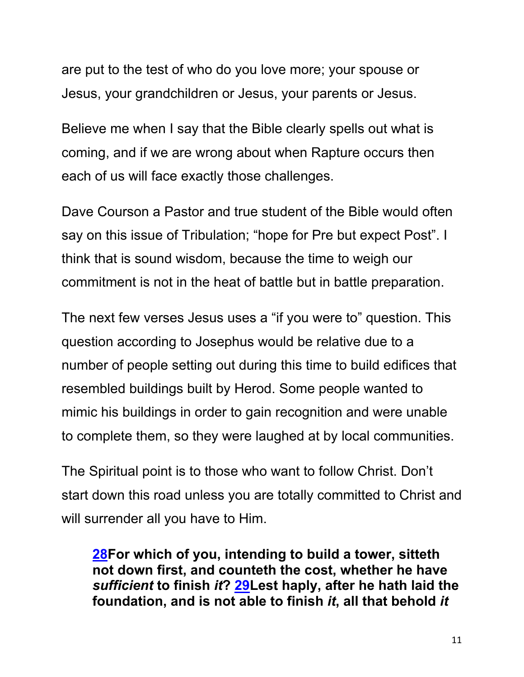are put to the test of who do you love more; your spouse or Jesus, your grandchildren or Jesus, your parents or Jesus.

Believe me when I say that the Bible clearly spells out what is coming, and if we are wrong about when Rapture occurs then each of us will face exactly those challenges.

Dave Courson a Pastor and true student of the Bible would often say on this issue of Tribulation; "hope for Pre but expect Post". I think that is sound wisdom, because the time to weigh our commitment is not in the heat of battle but in battle preparation.

The next few verses Jesus uses a "if you were to" question. This question according to Josephus would be relative due to a number of people setting out during this time to build edifices that resembled buildings built by Herod. Some people wanted to mimic his buildings in order to gain recognition and were unable to complete them, so they were laughed at by local communities.

The Spiritual point is to those who want to follow Christ. Don't start down this road unless you are totally committed to Christ and will surrender all you have to Him.

**28For which of you, intending to build a tower, sitteth not down first, and counteth the cost, whether he have**  *sufficient* **to finish** *it***? 29Lest haply, after he hath laid the foundation, and is not able to finish** *it***, all that behold** *it*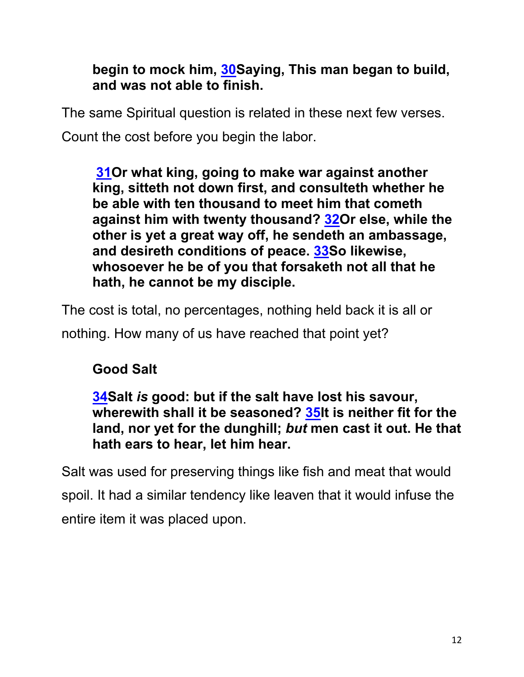## **begin to mock him, 30Saying, This man began to build, and was not able to finish.**

The same Spiritual question is related in these next few verses.

Count the cost before you begin the labor.

**31Or what king, going to make war against another king, sitteth not down first, and consulteth whether he be able with ten thousand to meet him that cometh against him with twenty thousand? 32Or else, while the other is yet a great way off, he sendeth an ambassage, and desireth conditions of peace. 33So likewise, whosoever he be of you that forsaketh not all that he hath, he cannot be my disciple.**

The cost is total, no percentages, nothing held back it is all or

nothing. How many of us have reached that point yet?

# **Good Salt**

**34Salt** *is* **good: but if the salt have lost his savour, wherewith shall it be seasoned? 35It is neither fit for the land, nor yet for the dunghill;** *but* **men cast it out. He that hath ears to hear, let him hear.**

Salt was used for preserving things like fish and meat that would spoil. It had a similar tendency like leaven that it would infuse the entire item it was placed upon.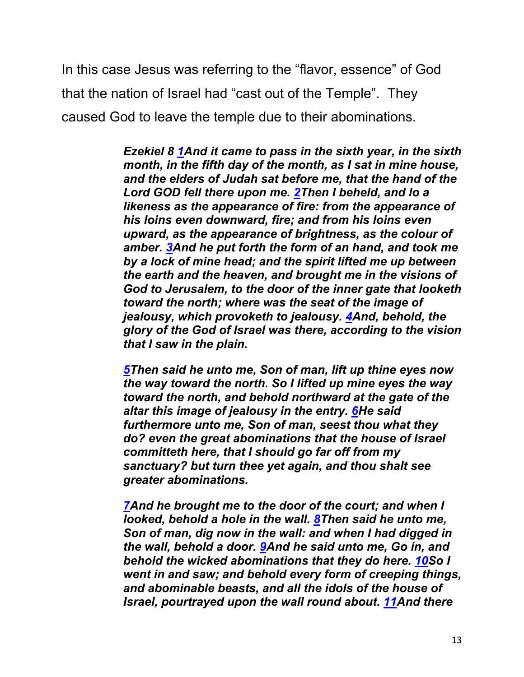In this case Jesus was referring to the "flavor, essence" of God that the nation of Israel had "cast out of the Temple". They caused God to leave the temple due to their abominations.

> *Ezekiel 8 1And it came to pass in the sixth year, in the sixth month, in the fifth day of the month, as I sat in mine house, and the elders of Judah sat before me, that the hand of the Lord GOD fell there upon me. 2Then I beheld, and lo a likeness as the appearance of fire: from the appearance of his loins even downward, fire; and from his loins even upward, as the appearance of brightness, as the colour of amber. 3And he put forth the form of an hand, and took me by a lock of mine head; and the spirit lifted me up between the earth and the heaven, and brought me in the visions of God to Jerusalem, to the door of the inner gate that looketh toward the north; where was the seat of the image of jealousy, which provoketh to jealousy. 4And, behold, the glory of the God of Israel was there, according to the vision that I saw in the plain.*

*5Then said he unto me, Son of man, lift up thine eyes now the way toward the north. So I lifted up mine eyes the way toward the north, and behold northward at the gate of the altar this image of jealousy in the entry. 6He said furthermore unto me, Son of man, seest thou what they do? even the great abominations that the house of Israel committeth here, that I should go far off from my sanctuary? but turn thee yet again, and thou shalt see greater abominations.*

*7And he brought me to the door of the court; and when I looked, behold a hole in the wall. 8Then said he unto me, Son of man, dig now in the wall: and when I had digged in the wall, behold a door. 9And he said unto me, Go in, and behold the wicked abominations that they do here. 10So I went in and saw; and behold every form of creeping things, and abominable beasts, and all the idols of the house of Israel, pourtrayed upon the wall round about. 11And there*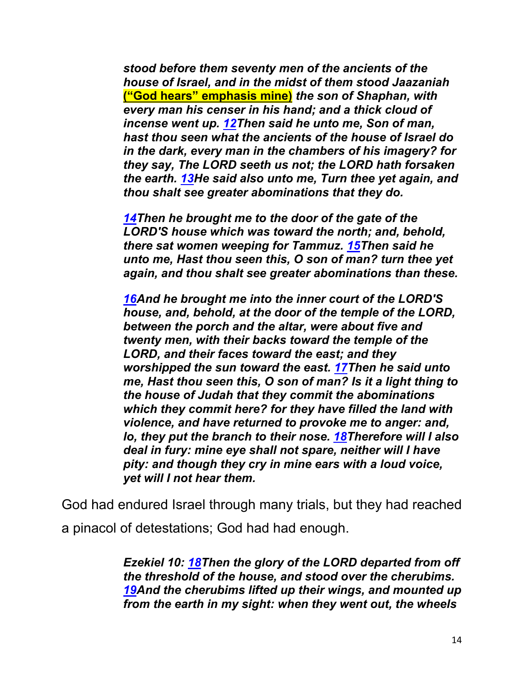*stood before them seventy men of the ancients of the house of Israel, and in the midst of them stood Jaazaniah*  **("God hears" emphasis mine)** *the son of Shaphan, with every man his censer in his hand; and a thick cloud of incense went up. 12Then said he unto me, Son of man, hast thou seen what the ancients of the house of Israel do in the dark, every man in the chambers of his imagery? for they say, The LORD seeth us not; the LORD hath forsaken the earth. 13He said also unto me, Turn thee yet again, and thou shalt see greater abominations that they do.*

*14Then he brought me to the door of the gate of the LORD'S house which was toward the north; and, behold, there sat women weeping for Tammuz. 15Then said he unto me, Hast thou seen this, O son of man? turn thee yet again, and thou shalt see greater abominations than these.*

*16And he brought me into the inner court of the LORD'S house, and, behold, at the door of the temple of the LORD, between the porch and the altar, were about five and twenty men, with their backs toward the temple of the LORD, and their faces toward the east; and they worshipped the sun toward the east. 17Then he said unto me, Hast thou seen this, O son of man? Is it a light thing to the house of Judah that they commit the abominations which they commit here? for they have filled the land with violence, and have returned to provoke me to anger: and, lo, they put the branch to their nose. 18Therefore will I also deal in fury: mine eye shall not spare, neither will I have pity: and though they cry in mine ears with a loud voice, yet will I not hear them.*

God had endured Israel through many trials, but they had reached a pinacol of detestations; God had had enough.

> *Ezekiel 10: 18Then the glory of the LORD departed from off the threshold of the house, and stood over the cherubims. 19And the cherubims lifted up their wings, and mounted up from the earth in my sight: when they went out, the wheels*